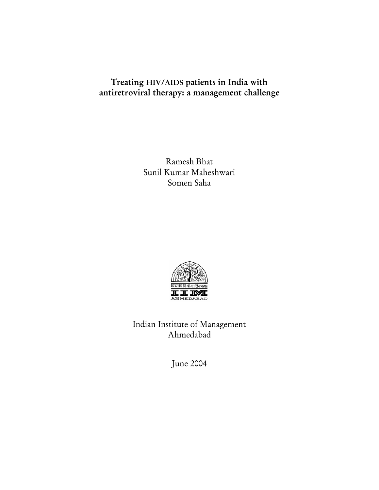# Treating HIV/AIDS patients in India with antiretroviral therapy: a management challenge

Ramesh Bhat Sunil Kumar Maheshwari Somen Saha



Indian Institute of Management Ahmedabad

June 2004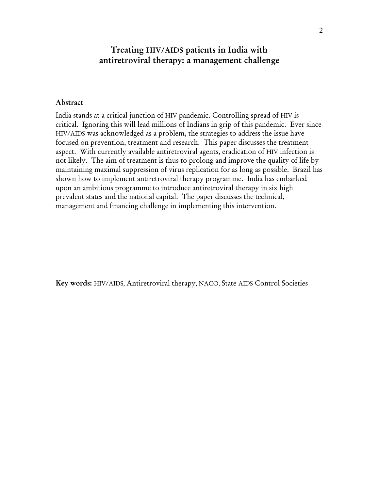## Treating HIV/AIDS patients in India with antiretroviral therapy: a management challenge

#### Abstract

India stands at a critical junction of HIV pandemic. Controlling spread of HIV is critical. Ignoring this will lead millions of Indians in grip of this pandemic. Ever since HIV/AIDS was acknowledged as a problem, the strategies to address the issue have focused on prevention, treatment and research. This paper discusses the treatment aspect. With currently available antiretroviral agents, eradication of HIV infection is not likely. The aim of treatment is thus to prolong and improve the quality of life by maintaining maximal suppression of virus replication for as long as possible. Brazil has shown how to implement antiretroviral therapy programme. India has embarked upon an ambitious programme to introduce antiretroviral therapy in six high prevalent states and the national capital. The paper discusses the technical, management and financing challenge in implementing this intervention.

Key words: HIV/AIDS, Antiretroviral therapy, NACO, State AIDS Control Societies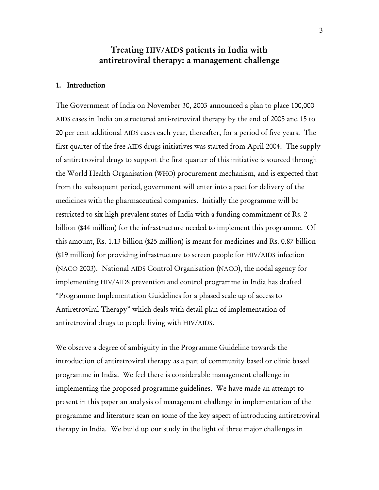## Treating HIV/AIDS patients in India with antiretroviral therapy: a management challenge

#### 1. Introduction

The Government of India on November 30, 2003 announced a plan to place 100,000 AIDS cases in India on structured anti-retroviral therapy by the end of 2005 and 15 to 20 per cent additional AIDS cases each year, thereafter, for a period of five years. The first quarter of the free AIDS-drugs initiatives was started from April 2004. The supply of antiretroviral drugs to support the first quarter of this initiative is sourced through the World Health Organisation (WHO) procurement mechanism, and is expected that from the subsequent period, government will enter into a pact for delivery of the medicines with the pharmaceutical companies. Initially the programme will be restricted to six high prevalent states of India with a funding commitment of Rs. 2 billion (\$44 million) for the infrastructure needed to implement this programme. Of this amount, Rs. 1.13 billion (\$25 million) is meant for medicines and Rs. 0.87 billion (\$19 million) for providing infrastructure to screen people for HIV/AIDS infection (NACO 2003). National AIDS Control Organisation (NACO), the nodal agency for implementing HIV/AIDS prevention and control programme in India has drafted "Programme Implementation Guidelines for a phased scale up of access to Antiretroviral Therapy" which deals with detail plan of implementation of antiretroviral drugs to people living with HIV/AIDS.

We observe a degree of ambiguity in the Programme Guideline towards the introduction of antiretroviral therapy as a part of community based or clinic based programme in India. We feel there is considerable management challenge in implementing the proposed programme guidelines. We have made an attempt to present in this paper an analysis of management challenge in implementation of the programme and literature scan on some of the key aspect of introducing antiretroviral therapy in India. We build up our study in the light of three major challenges in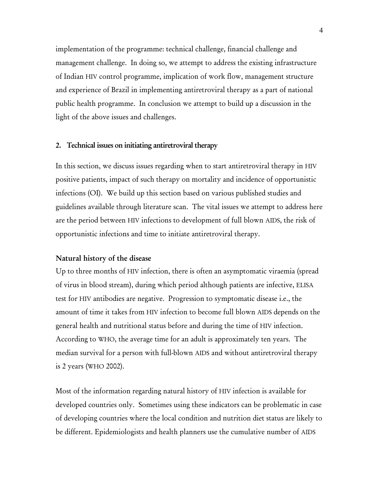implementation of the programme: technical challenge, financial challenge and management challenge. In doing so, we attempt to address the existing infrastructure of Indian HIV control programme, implication of work flow, management structure and experience of Brazil in implementing antiretroviral therapy as a part of national public health programme. In conclusion we attempt to build up a discussion in the light of the above issues and challenges.

#### 2. Technical issues on initiating antiretroviral therapy

In this section, we discuss issues regarding when to start antiretroviral therapy in HIV positive patients, impact of such therapy on mortality and incidence of opportunistic infections (OI). We build up this section based on various published studies and guidelines available through literature scan. The vital issues we attempt to address here are the period between HIV infections to development of full blown AIDS, the risk of opportunistic infections and time to initiate antiretroviral therapy.

#### Natural history of the disease

Up to three months of HIV infection, there is often an asymptomatic viraemia (spread of virus in blood stream), during which period although patients are infective, ELISA test for HIV antibodies are negative. Progression to symptomatic disease i.e., the amount of time it takes from HIV infection to become full blown AIDS depends on the general health and nutritional status before and during the time of HIV infection. According to WHO, the average time for an adult is approximately ten years. The median survival for a person with full-blown AIDS and without antiretroviral therapy is 2 years (WHO 2002).

Most of the information regarding natural history of HIV infection is available for developed countries only. Sometimes using these indicators can be problematic in case of developing countries where the local condition and nutrition diet status are likely to be different. Epidemiologists and health planners use the cumulative number of AIDS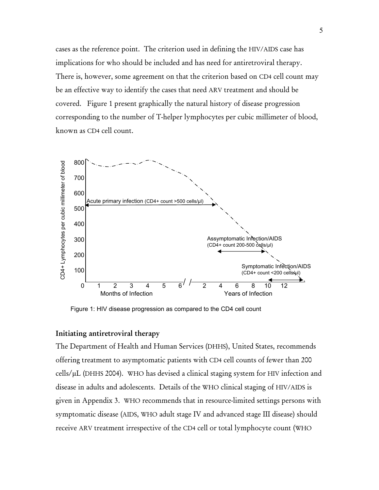cases as the reference point. The criterion used in defining the HIV/AIDS case has implications for who should be included and has need for antiretroviral therapy. There is, however, some agreement on that the criterion based on CD4 cell count may be an effective way to identify the cases that need ARV treatment and should be covered. Figure 1 present graphically the natural history of disease progression corresponding to the number of T-helper lymphocytes per cubic millimeter of blood, known as CD4 cell count.



Figure 1: HIV disease progression as compared to the CD4 cell count

#### Initiating antiretroviral therapy

The Department of Health and Human Services (DHHS), United States, recommends offering treatment to asymptomatic patients with CD4 cell counts of fewer than 200 cells/µL (DHHS 2004). WHO has devised a clinical staging system for HIV infection and disease in adults and adolescents. Details of the WHO clinical staging of HIV/AIDS is given in Appendix 3. WHO recommends that in resource-limited settings persons with symptomatic disease (AIDS, WHO adult stage IV and advanced stage III disease) should receive ARV treatment irrespective of the CD4 cell or total lymphocyte count (WHO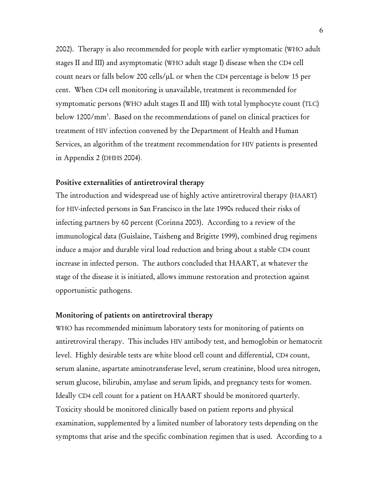2002). Therapy is also recommended for people with earlier symptomatic (WHO adult stages II and III) and asymptomatic (WHO adult stage I) disease when the CD4 cell count nears or falls below 200 cells/µL or when the CD4 percentage is below 15 per cent. When CD4 cell monitoring is unavailable, treatment is recommended for symptomatic persons (WHO adult stages II and III) with total lymphocyte count (TLC) below 1200/mm<sup>3</sup>. Based on the recommendations of panel on clinical practices for treatment of HIV infection convened by the Department of Health and Human Services, an algorithm of the treatment recommendation for HIV patients is presented in Appendix 2 (DHHS 2004).

#### Positive externalities of antiretroviral therapy

The introduction and widespread use of highly active antiretroviral therapy (HAART) for HIV-infected persons in San Francisco in the late 1990s reduced their risks of infecting partners by 60 percent (Corinna 2003). According to a review of the immunological data (Guislaine, Taisheng and Brigitte 1999), combined drug regimens induce a major and durable viral load reduction and bring about a stable CD4 count increase in infected person. The authors concluded that HAART, at whatever the stage of the disease it is initiated, allows immune restoration and protection against opportunistic pathogens.

#### Monitoring of patients on antiretroviral therapy

WHO has recommended minimum laboratory tests for monitoring of patients on antiretroviral therapy. This includes HIV antibody test, and hemoglobin or hematocrit level. Highly desirable tests are white blood cell count and differential, CD4 count, serum alanine, aspartate aminotransferase level, serum creatinine, blood urea nitrogen, serum glucose, bilirubin, amylase and serum lipids, and pregnancy tests for women. Ideally CD4 cell count for a patient on HAART should be monitored quarterly. Toxicity should be monitored clinically based on patient reports and physical examination, supplemented by a limited number of laboratory tests depending on the symptoms that arise and the specific combination regimen that is used. According to a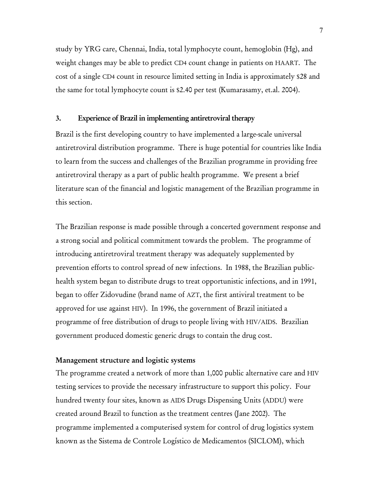study by YRG care, Chennai, India, total lymphocyte count, hemoglobin (Hg), and weight changes may be able to predict CD4 count change in patients on HAART. The cost of a single CD4 count in resource limited setting in India is approximately \$28 and the same for total lymphocyte count is \$2.40 per test (Kumarasamy, et.al. 2004).

#### 3. Experience of Brazil in implementing antiretroviral therapy

Brazil is the first developing country to have implemented a large-scale universal antiretroviral distribution programme. There is huge potential for countries like India to learn from the success and challenges of the Brazilian programme in providing free antiretroviral therapy as a part of public health programme. We present a brief literature scan of the financial and logistic management of the Brazilian programme in this section.

The Brazilian response is made possible through a concerted government response and a strong social and political commitment towards the problem. The programme of introducing antiretroviral treatment therapy was adequately supplemented by prevention efforts to control spread of new infections. In 1988, the Brazilian publichealth system began to distribute drugs to treat opportunistic infections, and in 1991, began to offer Zidovudine (brand name of AZT, the first antiviral treatment to be approved for use against HIV). In 1996, the government of Brazil initiated a programme of free distribution of drugs to people living with HIV/AIDS. Brazilian government produced domestic generic drugs to contain the drug cost.

#### Management structure and logistic systems

The programme created a network of more than 1,000 public alternative care and HIV testing services to provide the necessary infrastructure to support this policy. Four hundred twenty four sites, known as AIDS Drugs Dispensing Units (ADDU) were created around Brazil to function as the treatment centres (Jane 2002). The programme implemented a computerised system for control of drug logistics system known as the Sistema de Controle Logístico de Medicamentos (SICLOM), which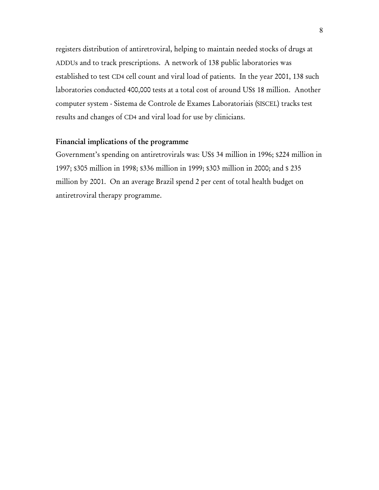registers distribution of antiretroviral, helping to maintain needed stocks of drugs at ADDUs and to track prescriptions. A network of 138 public laboratories was established to test CD4 cell count and viral load of patients. In the year 2001, 138 such laboratories conducted 400,000 tests at a total cost of around US\$ 18 million. Another computer system - Sistema de Controle de Exames Laboratoriais (SISCEL) tracks test results and changes of CD4 and viral load for use by clinicians.

#### Financial implications of the programme

Government's spending on antiretrovirals was: US\$ 34 million in 1996; \$224 million in 1997; \$305 million in 1998; \$336 million in 1999; \$303 million in 2000; and \$ 235 million by 2001. On an average Brazil spend 2 per cent of total health budget on antiretroviral therapy programme.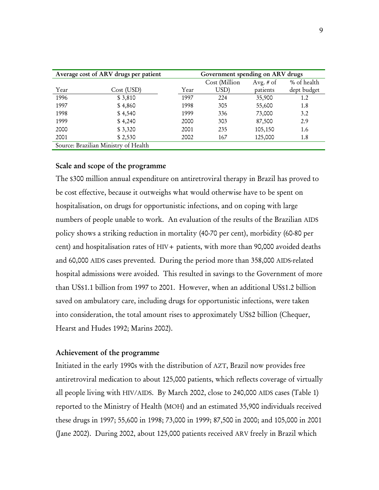| Average cost of ARV drugs per patient |            |      | Government spending on ARV drugs |             |             |  |
|---------------------------------------|------------|------|----------------------------------|-------------|-------------|--|
|                                       |            |      | Cost (Million                    | Avg. $#$ of | % of health |  |
| Year                                  | Cost (USD) | Year | USD)                             | patients    | dept budget |  |
| 1996                                  | \$3,810    | 1997 | 224                              | 35,900      | 1.2         |  |
| 1997                                  | \$4,860    | 1998 | 305                              | 55,600      | 1.8         |  |
| 1998                                  | \$4,540    | 1999 | 336                              | 73,000      | 3.2         |  |
| 1999                                  | \$4,240    | 2000 | 303                              | 87,500      | 2.9         |  |
| 2000                                  | \$3,320    | 2001 | 235                              | 105,150     | 1.6         |  |
| 2001                                  | \$2,530    | 2002 | 167                              | 125,000     | 1.8         |  |
| Source: Brazilian Ministry of Health  |            |      |                                  |             |             |  |

#### Scale and scope of the programme

The \$300 million annual expenditure on antiretroviral therapy in Brazil has proved to be cost effective, because it outweighs what would otherwise have to be spent on hospitalisation, on drugs for opportunistic infections, and on coping with large numbers of people unable to work. An evaluation of the results of the Brazilian AIDS policy shows a striking reduction in mortality (40-70 per cent), morbidity (60-80 per cent) and hospitalisation rates of HIV+ patients, with more than 90,000 avoided deaths and 60,000 AIDS cases prevented. During the period more than 358,000 AIDS-related hospital admissions were avoided. This resulted in savings to the Government of more than US\$1.1 billion from 1997 to 2001. However, when an additional US\$1.2 billion saved on ambulatory care, including drugs for opportunistic infections, were taken into consideration, the total amount rises to approximately US\$2 billion (Chequer, Hearst and Hudes 1992; Marins 2002).

#### Achievement of the programme

Initiated in the early 1990s with the distribution of AZT, Brazil now provides free antiretroviral medication to about 125,000 patients, which reflects coverage of virtually all people living with HIV/AIDS. By March 2002, close to 240,000 AIDS cases (Table 1) reported to the Ministry of Health (MOH) and an estimated 35,900 individuals received these drugs in 1997; 55,600 in 1998; 73,000 in 1999; 87,500 in 2000; and 105,000 in 2001 (Jane 2002). During 2002, about 125,000 patients received ARV freely in Brazil which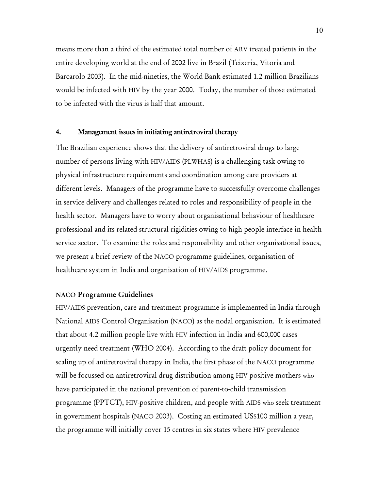means more than a third of the estimated total number of ARV treated patients in the entire developing world at the end of 2002 live in Brazil (Teixeria, Vitoria and Barcarolo 2003). In the mid-nineties, the World Bank estimated 1.2 million Brazilians would be infected with HIV by the year 2000. Today, the number of those estimated to be infected with the virus is half that amount.

#### 4. Management issues in initiating antiretroviral therapy

The Brazilian experience shows that the delivery of antiretroviral drugs to large number of persons living with HIV/AIDS (PLWHAS) is a challenging task owing to physical infrastructure requirements and coordination among care providers at different levels. Managers of the programme have to successfully overcome challenges in service delivery and challenges related to roles and responsibility of people in the health sector. Managers have to worry about organisational behaviour of healthcare professional and its related structural rigidities owing to high people interface in health service sector. To examine the roles and responsibility and other organisational issues, we present a brief review of the NACO programme guidelines, organisation of healthcare system in India and organisation of HIV/AIDS programme.

#### NACO Programme Guidelines

HIV/AIDS prevention, care and treatment programme is implemented in India through National AIDS Control Organisation (NACO) as the nodal organisation. It is estimated that about 4.2 million people live with HIV infection in India and 600,000 cases urgently need treatment (WHO 2004). According to the draft policy document for scaling up of antiretroviral therapy in India, the first phase of the NACO programme will be focussed on antiretroviral drug distribution among HIV-positive mothers who have participated in the national prevention of parent-to-child transmission programme (PPTCT), HIV-positive children, and people with AIDS who seek treatment in government hospitals (NACO 2003). Costing an estimated US\$100 million a year, the programme will initially cover 15 centres in six states where HIV prevalence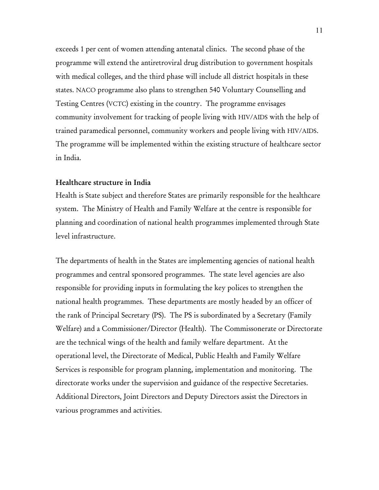exceeds 1 per cent of women attending antenatal clinics. The second phase of the programme will extend the antiretroviral drug distribution to government hospitals with medical colleges, and the third phase will include all district hospitals in these states. NACO programme also plans to strengthen 540 Voluntary Counselling and Testing Centres (VCTC) existing in the country. The programme envisages community involvement for tracking of people living with HIV/AIDS with the help of trained paramedical personnel, community workers and people living with HIV/AIDS. The programme will be implemented within the existing structure of healthcare sector in India.

#### Healthcare structure in India

Health is State subject and therefore States are primarily responsible for the healthcare system. The Ministry of Health and Family Welfare at the centre is responsible for planning and coordination of national health programmes implemented through State level infrastructure.

The departments of health in the States are implementing agencies of national health programmes and central sponsored programmes. The state level agencies are also responsible for providing inputs in formulating the key polices to strengthen the national health programmes. These departments are mostly headed by an officer of the rank of Principal Secretary (PS). The PS is subordinated by a Secretary (Family Welfare) and a Commissioner/Director (Health). The Commissonerate or Directorate are the technical wings of the health and family welfare department. At the operational level, the Directorate of Medical, Public Health and Family Welfare Services is responsible for program planning, implementation and monitoring. The directorate works under the supervision and guidance of the respective Secretaries. Additional Directors, Joint Directors and Deputy Directors assist the Directors in various programmes and activities.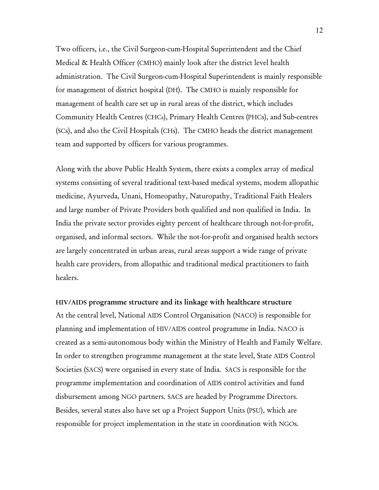Two officers, i.e., the Civil Surgeon-cum-Hospital Superintendent and the Chief Medical & Health Officer (CMHO) mainly look after the district level health administration. The Civil Surgeon-cum-Hospital Superintendent is mainly responsible for management of district hospital (DH). The CMHO is mainly responsible for management of health care set up in rural areas of the district, which includes Community Health Centres (CHCs), Primary Health Centres (PHCs), and Sub-centres (SCs), and also the Civil Hospitals (CHs). The CMHO heads the district management team and supported by officers for various programmes.

Along with the above Public Health System, there exists a complex array of medical systems consisting of several traditional text-based medical systems, modem allopathic medicine, Ayurveda, Unani, Homeopathy, Naturopathy, Traditional Faith Healers and large number of Private Providers both qualified and non qualified in India. In India the private sector provides eighty percent of healthcare through not-for-profit, organised, and informal sectors. While the not-for-profit and organised health sectors are largely concentrated in urban areas, rural areas support a wide range of private health care providers, from allopathic and traditional medical practitioners to faith healers.

#### HIV/AIDS programme structure and its linkage with healthcare structure

At the central level, National AIDS Control Organisation (NACO) is responsible for planning and implementation of HIV/AIDS control programme in India. NACO is created as a semi-autonomous body within the Ministry of Health and Family Welfare. In order to strengthen programme management at the state level, State AIDS Control Societies (SACS) were organised in every state of India. SACS is responsible for the programme implementation and coordination of AIDS control activities and fund disbursement among NGO partners. SACS are headed by Programme Directors. Besides, several states also have set up a Project Support Units (PSU), which are responsible for project implementation in the state in coordination with NGOs.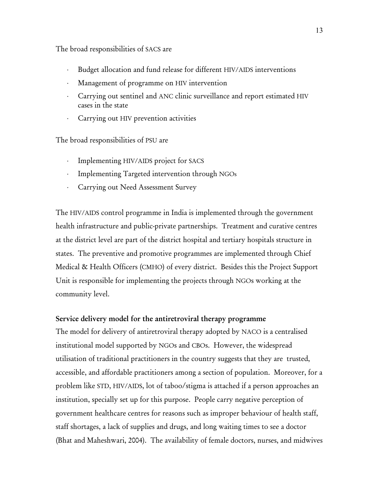The broad responsibilities of SACS are

- ⋅ Budget allocation and fund release for different HIV/AIDS interventions
- ⋅ Management of programme on HIV intervention
- ⋅ Carrying out sentinel and ANC clinic surveillance and report estimated HIV cases in the state
- Carrying out HIV prevention activities

The broad responsibilities of PSU are

- ⋅ Implementing HIV/AIDS project for SACS
- ⋅ Implementing Targeted intervention through NGOs
- ⋅ Carrying out Need Assessment Survey

The HIV/AIDS control programme in India is implemented through the government health infrastructure and public-private partnerships. Treatment and curative centres at the district level are part of the district hospital and tertiary hospitals structure in states. The preventive and promotive programmes are implemented through Chief Medical & Health Officers (CMHO) of every district. Besides this the Project Support Unit is responsible for implementing the projects through NGOs working at the community level.

#### Service delivery model for the antiretroviral therapy programme

The model for delivery of antiretroviral therapy adopted by NACO is a centralised institutional model supported by NGOs and CBOs. However, the widespread utilisation of traditional practitioners in the country suggests that they are trusted, accessible, and affordable practitioners among a section of population. Moreover, for a problem like STD, HIV/AIDS, lot of taboo/stigma is attached if a person approaches an institution, specially set up for this purpose. People carry negative perception of government healthcare centres for reasons such as improper behaviour of health staff, staff shortages, a lack of supplies and drugs, and long waiting times to see a doctor (Bhat and Maheshwari, 2004). The availability of female doctors, nurses, and midwives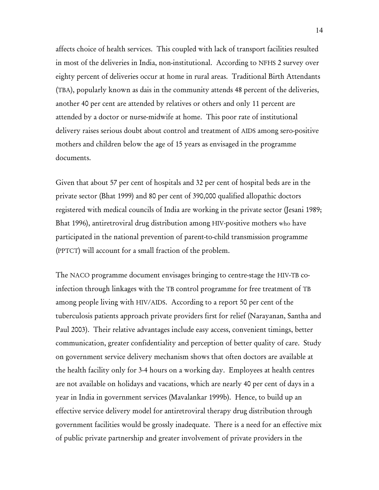affects choice of health services. This coupled with lack of transport facilities resulted in most of the deliveries in India, non-institutional. According to NFHS 2 survey over eighty percent of deliveries occur at home in rural areas. Traditional Birth Attendants (TBA), popularly known as dais in the community attends 48 percent of the deliveries, another 40 per cent are attended by relatives or others and only 11 percent are attended by a doctor or nurse-midwife at home. This poor rate of institutional delivery raises serious doubt about control and treatment of AIDS among sero-positive mothers and children below the age of 15 years as envisaged in the programme documents.

Given that about 57 per cent of hospitals and 32 per cent of hospital beds are in the private sector (Bhat 1999) and 80 per cent of 390,000 qualified allopathic doctors registered with medical councils of India are working in the private sector (Jesani 1989; Bhat 1996), antiretroviral drug distribution among HIV-positive mothers who have participated in the national prevention of parent-to-child transmission programme (PPTCT) will account for a small fraction of the problem.

The NACO programme document envisages bringing to centre-stage the HIV-TB coinfection through linkages with the TB control programme for free treatment of TB among people living with HIV/AIDS. According to a report 50 per cent of the tuberculosis patients approach private providers first for relief (Narayanan, Santha and Paul 2003). Their relative advantages include easy access, convenient timings, better communication, greater confidentiality and perception of better quality of care. Study on government service delivery mechanism shows that often doctors are available at the health facility only for 3-4 hours on a working day. Employees at health centres are not available on holidays and vacations, which are nearly 40 per cent of days in a year in India in government services (Mavalankar 1999b). Hence, to build up an effective service delivery model for antiretroviral therapy drug distribution through government facilities would be grossly inadequate. There is a need for an effective mix of public private partnership and greater involvement of private providers in the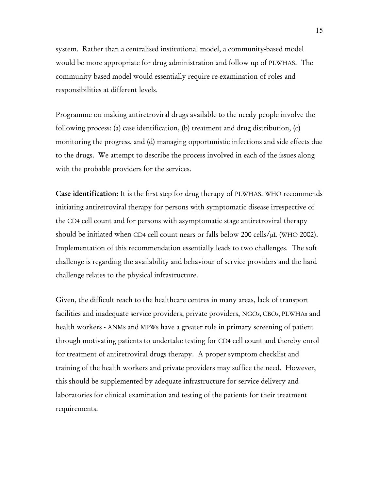system. Rather than a centralised institutional model, a community-based model would be more appropriate for drug administration and follow up of PLWHAS. The community based model would essentially require re-examination of roles and responsibilities at different levels.

Programme on making antiretroviral drugs available to the needy people involve the following process: (a) case identification, (b) treatment and drug distribution, (c) monitoring the progress, and (d) managing opportunistic infections and side effects due to the drugs. We attempt to describe the process involved in each of the issues along with the probable providers for the services.

Case identification: It is the first step for drug therapy of PLWHAS. WHO recommends initiating antiretroviral therapy for persons with symptomatic disease irrespective of the CD4 cell count and for persons with asymptomatic stage antiretroviral therapy should be initiated when CD4 cell count nears or falls below 200 cells/µL (WHO 2002). Implementation of this recommendation essentially leads to two challenges. The soft challenge is regarding the availability and behaviour of service providers and the hard challenge relates to the physical infrastructure.

Given, the difficult reach to the healthcare centres in many areas, lack of transport facilities and inadequate service providers, private providers, NGOs, CBOs, PLWHAs and health workers - ANMs and MPWs have a greater role in primary screening of patient through motivating patients to undertake testing for CD4 cell count and thereby enrol for treatment of antiretroviral drugs therapy. A proper symptom checklist and training of the health workers and private providers may suffice the need. However, this should be supplemented by adequate infrastructure for service delivery and laboratories for clinical examination and testing of the patients for their treatment requirements.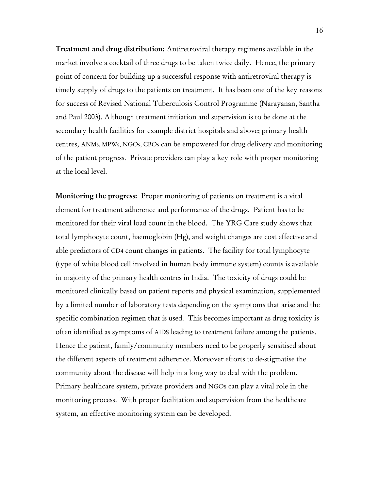Treatment and drug distribution: Antiretroviral therapy regimens available in the market involve a cocktail of three drugs to be taken twice daily. Hence, the primary point of concern for building up a successful response with antiretroviral therapy is timely supply of drugs to the patients on treatment. It has been one of the key reasons for success of Revised National Tuberculosis Control Programme (Narayanan, Santha and Paul 2003). Although treatment initiation and supervision is to be done at the secondary health facilities for example district hospitals and above; primary health centres, ANMs, MPWs, NGOs, CBOs can be empowered for drug delivery and monitoring of the patient progress. Private providers can play a key role with proper monitoring at the local level.

Monitoring the progress: Proper monitoring of patients on treatment is a vital element for treatment adherence and performance of the drugs. Patient has to be monitored for their viral load count in the blood. The YRG Care study shows that total lymphocyte count, haemoglobin (Hg), and weight changes are cost effective and able predictors of CD4 count changes in patients. The facility for total lymphocyte (type of white blood cell involved in human body immune system) counts is available in majority of the primary health centres in India. The toxicity of drugs could be monitored clinically based on patient reports and physical examination, supplemented by a limited number of laboratory tests depending on the symptoms that arise and the specific combination regimen that is used. This becomes important as drug toxicity is often identified as symptoms of AIDS leading to treatment failure among the patients. Hence the patient, family/community members need to be properly sensitised about the different aspects of treatment adherence. Moreover efforts to de-stigmatise the community about the disease will help in a long way to deal with the problem. Primary healthcare system, private providers and NGOs can play a vital role in the monitoring process. With proper facilitation and supervision from the healthcare system, an effective monitoring system can be developed.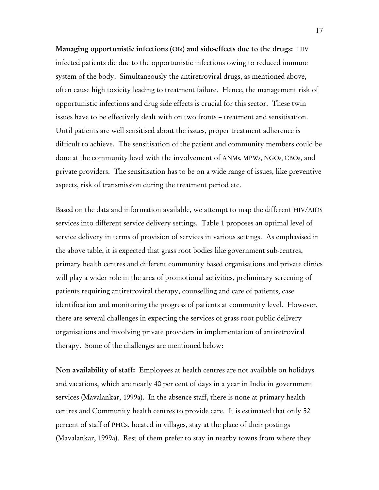Managing opportunistic infections (OIs) and side-effects due to the drugs: HIV infected patients die due to the opportunistic infections owing to reduced immune system of the body. Simultaneously the antiretroviral drugs, as mentioned above, often cause high toxicity leading to treatment failure. Hence, the management risk of opportunistic infections and drug side effects is crucial for this sector. These twin issues have to be effectively dealt with on two fronts – treatment and sensitisation. Until patients are well sensitised about the issues, proper treatment adherence is difficult to achieve. The sensitisation of the patient and community members could be done at the community level with the involvement of ANMs, MPWs, NGOs, CBOs, and private providers. The sensitisation has to be on a wide range of issues, like preventive aspects, risk of transmission during the treatment period etc.

Based on the data and information available, we attempt to map the different HIV/AIDS services into different service delivery settings. Table 1 proposes an optimal level of service delivery in terms of provision of services in various settings. As emphasised in the above table, it is expected that grass root bodies like government sub-centres, primary health centres and different community based organisations and private clinics will play a wider role in the area of promotional activities, preliminary screening of patients requiring antiretroviral therapy, counselling and care of patients, case identification and monitoring the progress of patients at community level. However, there are several challenges in expecting the services of grass root public delivery organisations and involving private providers in implementation of antiretroviral therapy. Some of the challenges are mentioned below:

Non availability of staff: Employees at health centres are not available on holidays and vacations, which are nearly 40 per cent of days in a year in India in government services (Mavalankar, 1999a). In the absence staff, there is none at primary health centres and Community health centres to provide care. It is estimated that only 52 percent of staff of PHCs, located in villages, stay at the place of their postings (Mavalankar, 1999a). Rest of them prefer to stay in nearby towns from where they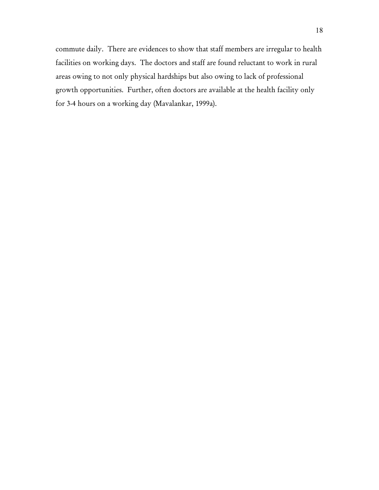commute daily. There are evidences to show that staff members are irregular to health facilities on working days. The doctors and staff are found reluctant to work in rural areas owing to not only physical hardships but also owing to lack of professional growth opportunities. Further, often doctors are available at the health facility only for 3-4 hours on a working day (Mavalankar, 1999a).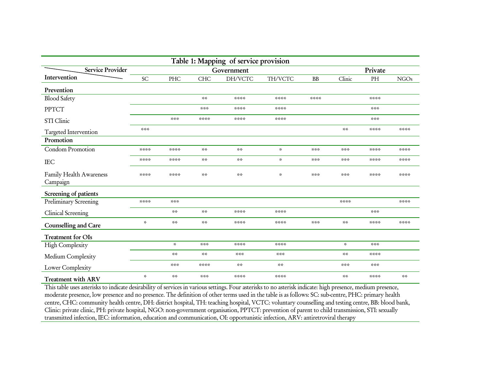| Table 1: Mapping of service provision |                         |                  |                 |                 |                       |           |                                  |             |                     |
|---------------------------------------|-------------------------|------------------|-----------------|-----------------|-----------------------|-----------|----------------------------------|-------------|---------------------|
| Service Provider                      | Government              |                  |                 |                 | Private               |           |                                  |             |                     |
| Intervention                          | SC                      | PHC              | <b>CHC</b>      | DH/VCTC         | TH/VCTC               | <b>BB</b> | Clinic                           | PH          | <b>NGOs</b>         |
| Prevention                            |                         |                  |                 |                 |                       |           |                                  |             |                     |
| <b>Blood Safety</b>                   |                         |                  | $\sim$ $\sim$   | ****            | ****                  | ****      |                                  | ****        |                     |
| PPTCT                                 |                         |                  | ***             | ****            | ****                  |           |                                  | ***         |                     |
| STI Clinic                            |                         | $* * *$          | ****            | ****            | ****                  |           |                                  | $2 - 2 - 2$ |                     |
| Targeted Intervention                 | ***                     |                  |                 |                 |                       |           | $\sim$ $\times$                  | ****        | ****                |
| Promotion                             |                         |                  |                 |                 |                       |           |                                  |             |                     |
| Condom Promotion                      | ****                    | ****             | $\sim$ $\sim$   | $\sim$ $\times$ | $\mathbf{x}^{\prime}$ | ***       | ***                              | ****        | ****                |
| <b>IEC</b>                            | ****                    | ****             | $\sim$ $\sim$   | $\sim$ $\times$ | $\mathbf{x}_r$        | $* * *$   | ***                              | ****        | ****                |
| Family Health Awareness<br>Campaign   | ****                    | ****             | $\sim$ $\times$ | $\lesssim 2$    | $\mathbf{x}^{\prime}$ | ***       | ***                              | ****        | ****                |
| Screening of patients                 |                         |                  |                 |                 |                       |           |                                  |             |                     |
| Preliminary Screening                 | ****                    | ***              |                 |                 |                       |           | ****                             |             | ****                |
| Clinical Screening                    |                         | $\sim$ $\times$  | $\sim$ $\sim$   | ****            | ****                  |           |                                  | $4 + 4 +$   |                     |
| Counselling and Care                  | $\mathbf{x}_i^{\prime}$ | $\sim$ $\sim$    | $\sim$ $\times$ | ****            | ****                  | $* * *$   | $\mathcal{A} \times \mathcal{A}$ | ****        | ****                |
| Treatment for OIs                     |                         |                  |                 |                 |                       |           |                                  |             |                     |
| High Complexity                       |                         | $\mathbf{x}_i^t$ | $* * *$         | ****            | ****                  |           | $\mathbf{x}_i$                   | $* * *$     |                     |
| Medium Complexity                     |                         | $\sim$ $\times$  | $\sim$ $\sim$   | ***             | ***                   |           | $\sim$ $\sim$                    | ****        |                     |
| Lower Complexity                      |                         | $* * *$          | ****            | $\sim$ $\times$ | 목록                    |           | $* * *$                          | $2 - 2 - 2$ |                     |
| <b>Treatment with ARV</b>             | $\mathbf{x}_i$          | $\sim$ $\times$  | ***             | ****            | ****                  |           | $\mathcal{A} \times \mathcal{A}$ | ****        | $\lesssim \lesssim$ |

This table uses asterisks to indicate desirability of services in various settings. Four asterisks to no asterisk indicate: high presence, medium presence, moderate presence, low presence and no presence. The definition of other terms used in the table is as follows: SC: sub-centre, PHC: primary health centre, CHC: community health centre, DH: district hospital, TH: teaching hospital, VCTC: voluntary counselling and testing centre, BB: blood bank, Clinic: private clinic, PH: private hospital, NGO: non-government organisation, PPTCT: prevention of parent to child transmission, STI: sexually transmitted infection, IEC: information, education and communication, OI: opportunistic infection, ARV: antiretroviral therapy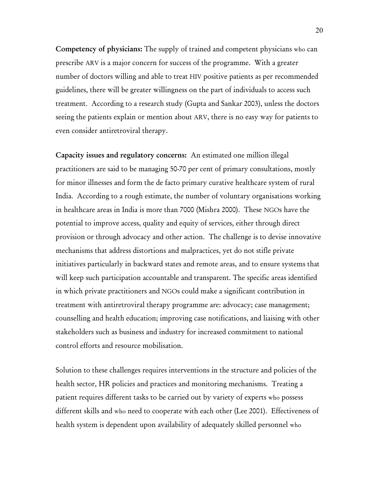Competency of physicians: The supply of trained and competent physicians who can prescribe ARV is a major concern for success of the programme. With a greater number of doctors willing and able to treat HIV positive patients as per recommended guidelines, there will be greater willingness on the part of individuals to access such treatment. According to a research study (Gupta and Sankar 2003), unless the doctors seeing the patients explain or mention about ARV, there is no easy way for patients to even consider antiretroviral therapy.

Capacity issues and regulatory concerns: An estimated one million illegal practitioners are said to be managing 50-70 per cent of primary consultations, mostly for minor illnesses and form the de facto primary curative healthcare system of rural India. According to a rough estimate, the number of voluntary organisations working in healthcare areas in India is more than 7000 (Mishra 2000). These NGOs have the potential to improve access, quality and equity of services, either through direct provision or through advocacy and other action. The challenge is to devise innovative mechanisms that address distortions and malpractices, yet do not stifle private initiatives particularly in backward states and remote areas, and to ensure systems that will keep such participation accountable and transparent. The specific areas identified in which private practitioners and NGOs could make a significant contribution in treatment with antiretroviral therapy programme are: advocacy; case management; counselling and health education; improving case notifications, and liaising with other stakeholders such as business and industry for increased commitment to national control efforts and resource mobilisation.

Solution to these challenges requires interventions in the structure and policies of the health sector, HR policies and practices and monitoring mechanisms. Treating a patient requires different tasks to be carried out by variety of experts who possess different skills and who need to cooperate with each other (Lee 2001). Effectiveness of health system is dependent upon availability of adequately skilled personnel who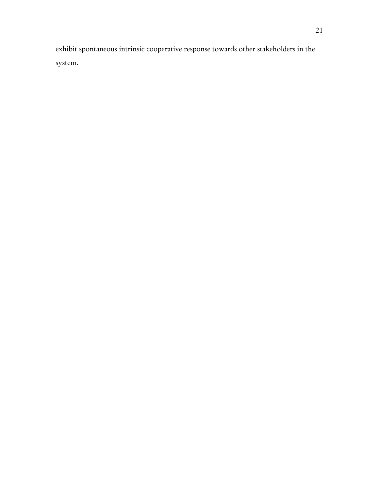exhibit spontaneous intrinsic cooperative response towards other stakeholders in the system.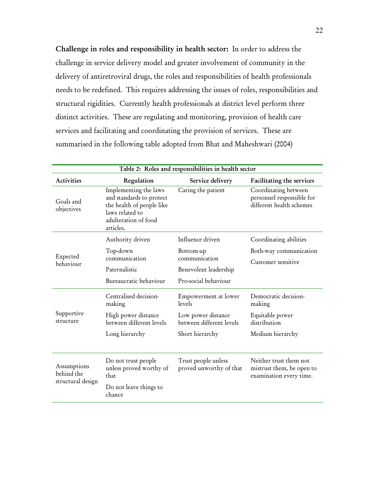Challenge in roles and responsibility in health sector: In order to address the challenge in service delivery model and greater involvement of community in the delivery of antiretroviral drugs, the roles and responsibilities of health professionals needs to be redefined. This requires addressing the issues of roles, responsibilities and structural rigidities. Currently health professionals at district level perform three distinct activities. These are regulating and monitoring, provision of health care services and facilitating and coordinating the provision of services. These are summarised in the following table adopted from Bhat and Maheshwari (2004)

| Table 2: Roles and responsibilities in health sector |                                                                                                                                                              |                                                |                                                                                |  |  |  |
|------------------------------------------------------|--------------------------------------------------------------------------------------------------------------------------------------------------------------|------------------------------------------------|--------------------------------------------------------------------------------|--|--|--|
| <b>Activities</b>                                    | Regulation<br>Service delivery                                                                                                                               |                                                | Facilitating the services                                                      |  |  |  |
| Goals and<br>objectives                              | Implementing the laws<br>Caring the patient<br>and standards to protect<br>the health of people like<br>laws related to<br>adulteration of food<br>articles. |                                                | Coordinating between<br>personnel responsible for<br>different health schemes  |  |  |  |
|                                                      | Authority driven                                                                                                                                             | Influence driven                               | Coordinating abilities                                                         |  |  |  |
| Expected                                             | Top-down                                                                                                                                                     | Bottom-up                                      | Both-way communication                                                         |  |  |  |
| behaviour                                            | communication<br>Paternalistic                                                                                                                               | communication                                  | Customer sensitive                                                             |  |  |  |
|                                                      |                                                                                                                                                              | Benevolent leadership                          |                                                                                |  |  |  |
|                                                      | Bureaucratic behaviour                                                                                                                                       | Pro-social behaviour                           |                                                                                |  |  |  |
|                                                      | Centralised decision-<br>making                                                                                                                              | Empowerment at lower<br>levels                 | Democratic decision-<br>making                                                 |  |  |  |
| Supportive<br>structure                              | High power distance<br>between different levels                                                                                                              | Low power distance<br>between different levels | Equitable power<br>distribution                                                |  |  |  |
|                                                      | Long hierarchy                                                                                                                                               | Short hierarchy                                | Medium hierarchy                                                               |  |  |  |
|                                                      |                                                                                                                                                              |                                                |                                                                                |  |  |  |
| Assumptions<br>behind the                            | Do not trust people<br>unless proved worthy of<br>that                                                                                                       | Trust people unless<br>proved unworthy of that | Neither trust them not<br>mistrust them, be open to<br>examination every time. |  |  |  |
| structural design                                    | Do not leave things to<br>chance                                                                                                                             |                                                |                                                                                |  |  |  |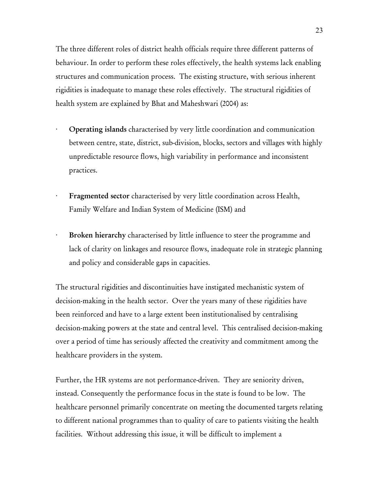The three different roles of district health officials require three different patterns of behaviour. In order to perform these roles effectively, the health systems lack enabling structures and communication process. The existing structure, with serious inherent rigidities is inadequate to manage these roles effectively. The structural rigidities of health system are explained by Bhat and Maheshwari (2004) as:

- · Operating islands characterised by very little coordination and communication between centre, state, district, sub-division, blocks, sectors and villages with highly unpredictable resource flows, high variability in performance and inconsistent practices.
- Fragmented sector characterised by very little coordination across Health, Family Welfare and Indian System of Medicine (ISM) and
- Broken hierarchy characterised by little influence to steer the programme and lack of clarity on linkages and resource flows, inadequate role in strategic planning and policy and considerable gaps in capacities.

The structural rigidities and discontinuities have instigated mechanistic system of decision-making in the health sector. Over the years many of these rigidities have been reinforced and have to a large extent been institutionalised by centralising decision-making powers at the state and central level. This centralised decision-making over a period of time has seriously affected the creativity and commitment among the healthcare providers in the system.

Further, the HR systems are not performance-driven. They are seniority driven, instead. Consequently the performance focus in the state is found to be low. The healthcare personnel primarily concentrate on meeting the documented targets relating to different national programmes than to quality of care to patients visiting the health facilities. Without addressing this issue, it will be difficult to implement a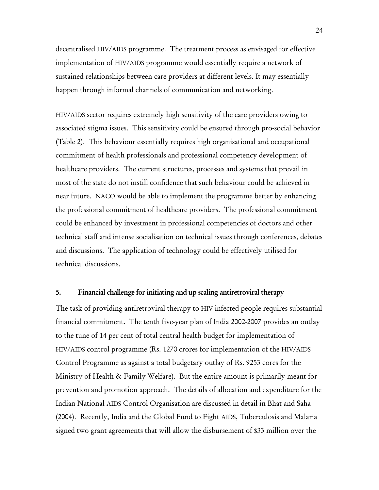decentralised HIV/AIDS programme. The treatment process as envisaged for effective implementation of HIV/AIDS programme would essentially require a network of sustained relationships between care providers at different levels. It may essentially happen through informal channels of communication and networking.

HIV/AIDS sector requires extremely high sensitivity of the care providers owing to associated stigma issues. This sensitivity could be ensured through pro-social behavior (Table 2). This behaviour essentially requires high organisational and occupational commitment of health professionals and professional competency development of healthcare providers. The current structures, processes and systems that prevail in most of the state do not instill confidence that such behaviour could be achieved in near future. NACO would be able to implement the programme better by enhancing the professional commitment of healthcare providers. The professional commitment could be enhanced by investment in professional competencies of doctors and other technical staff and intense socialisation on technical issues through conferences, debates and discussions. The application of technology could be effectively utilised for technical discussions.

#### 5. Financial challenge for initiating and up scaling antiretroviral therapy

The task of providing antiretroviral therapy to HIV infected people requires substantial financial commitment. The tenth five-year plan of India 2002-2007 provides an outlay to the tune of 14 per cent of total central health budget for implementation of HIV/AIDS control programme (Rs. 1270 crores for implementation of the HIV/AIDS Control Programme as against a total budgetary outlay of Rs. 9253 cores for the Ministry of Health & Family Welfare). But the entire amount is primarily meant for prevention and promotion approach. The details of allocation and expenditure for the Indian National AIDS Control Organisation are discussed in detail in Bhat and Saha (2004). Recently, India and the Global Fund to Fight AIDS, Tuberculosis and Malaria signed two grant agreements that will allow the disbursement of \$33 million over the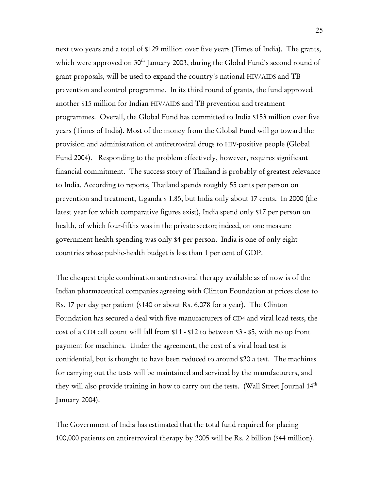next two years and a total of \$129 million over five years (Times of India). The grants, which were approved on 30<sup>th</sup> January 2003, during the Global Fund's second round of grant proposals, will be used to expand the country's national HIV/AIDS and TB prevention and control programme. In its third round of grants, the fund approved another \$15 million for Indian HIV/AIDS and TB prevention and treatment programmes. Overall, the Global Fund has committed to India \$153 million over five years (Times of India). Most of the money from the Global Fund will go toward the provision and administration of antiretroviral drugs to HIV-positive people (Global Fund 2004). Responding to the problem effectively, however, requires significant financial commitment. The success story of Thailand is probably of greatest relevance to India. According to reports, Thailand spends roughly 55 cents per person on prevention and treatment, Uganda \$ 1.85, but India only about 17 cents. In 2000 (the latest year for which comparative figures exist), India spend only \$17 per person on health, of which four-fifths was in the private sector; indeed, on one measure government health spending was only \$4 per person. India is one of only eight countries whose public-health budget is less than 1 per cent of GDP.

The cheapest triple combination antiretroviral therapy available as of now is of the Indian pharmaceutical companies agreeing with Clinton Foundation at prices close to Rs. 17 per day per patient (\$140 or about Rs. 6,078 for a year). The Clinton Foundation has secured a deal with five manufacturers of CD4 and viral load tests, the cost of a CD4 cell count will fall from \$11 - \$12 to between \$3 - \$5, with no up front payment for machines. Under the agreement, the cost of a viral load test is confidential, but is thought to have been reduced to around \$20 a test. The machines for carrying out the tests will be maintained and serviced by the manufacturers, and they will also provide training in how to carry out the tests. (Wall Street Journal 14th January 2004).

The Government of India has estimated that the total fund required for placing 100,000 patients on antiretroviral therapy by 2005 will be Rs. 2 billion (\$44 million).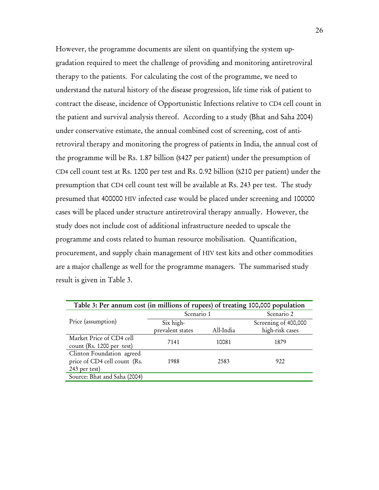However, the programme documents are silent on quantifying the system upgradation required to meet the challenge of providing and monitoring antiretroviral therapy to the patients. For calculating the cost of the programme, we need to understand the natural history of the disease progression, life time risk of patient to contract the disease, incidence of Opportunistic Infections relative to CD4 cell count in the patient and survival analysis thereof. According to a study (Bhat and Saha 2004) under conservative estimate, the annual combined cost of screening, cost of antiretroviral therapy and monitoring the progress of patients in India, the annual cost of the programme will be Rs. 1.87 billion (\$427 per patient) under the presumption of CD4 cell count test at Rs. 1200 per test and Rs. 0.92 billion (\$210 per patient) under the presumption that CD4 cell count test will be available at Rs. 243 per test. The study presumed that 400000 HIV infected case would be placed under screening and 100000 cases will be placed under structure antiretroviral therapy annually. However, the study does not include cost of additional infrastructure needed to upscale the programme and costs related to human resource mobilisation. Quantification, procurement, and supply chain management of HIV test kits and other commodities are a major challenge as well for the programme managers. The summarised study result is given in Table 3.

| Table 3: Per annum cost (in millions of rupees) of treating 100,000 population |                  |           |                      |  |  |
|--------------------------------------------------------------------------------|------------------|-----------|----------------------|--|--|
|                                                                                | Scenario 1       |           | Scenario 2           |  |  |
| Price (assumption)                                                             | Six high-        |           | Screening of 400,000 |  |  |
|                                                                                | prevalent states | All-India | high-risk cases      |  |  |
| Market Price of CD4 cell                                                       | 7141             | 10081     | 1879                 |  |  |
| count (Rs. 1200 per test)                                                      |                  |           |                      |  |  |
| Clinton Foundation agreed                                                      |                  |           |                      |  |  |
| price of CD4 cell count (Rs.                                                   | 1988             | 2583      | 922                  |  |  |
| 243 per test)                                                                  |                  |           |                      |  |  |
| Source: Bhat and Saha (2004)                                                   |                  |           |                      |  |  |
|                                                                                |                  |           |                      |  |  |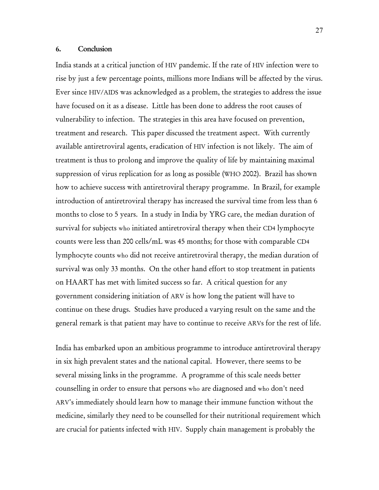#### 6. Conclusion

India stands at a critical junction of HIV pandemic. If the rate of HIV infection were to rise by just a few percentage points, millions more Indians will be affected by the virus. Ever since HIV/AIDS was acknowledged as a problem, the strategies to address the issue have focused on it as a disease. Little has been done to address the root causes of vulnerability to infection. The strategies in this area have focused on prevention, treatment and research. This paper discussed the treatment aspect. With currently available antiretroviral agents, eradication of HIV infection is not likely. The aim of treatment is thus to prolong and improve the quality of life by maintaining maximal suppression of virus replication for as long as possible (WHO 2002). Brazil has shown how to achieve success with antiretroviral therapy programme. In Brazil, for example introduction of antiretroviral therapy has increased the survival time from less than 6 months to close to 5 years. In a study in India by YRG care, the median duration of survival for subjects who initiated antiretroviral therapy when their CD4 lymphocyte counts were less than 200 cells/mL was 45 months; for those with comparable CD4 lymphocyte counts who did not receive antiretroviral therapy, the median duration of survival was only 33 months. On the other hand effort to stop treatment in patients on HAART has met with limited success so far. A critical question for any government considering initiation of ARV is how long the patient will have to continue on these drugs. Studies have produced a varying result on the same and the general remark is that patient may have to continue to receive ARVs for the rest of life.

India has embarked upon an ambitious programme to introduce antiretroviral therapy in six high prevalent states and the national capital. However, there seems to be several missing links in the programme. A programme of this scale needs better counselling in order to ensure that persons who are diagnosed and who don't need ARV's immediately should learn how to manage their immune function without the medicine, similarly they need to be counselled for their nutritional requirement which are crucial for patients infected with HIV. Supply chain management is probably the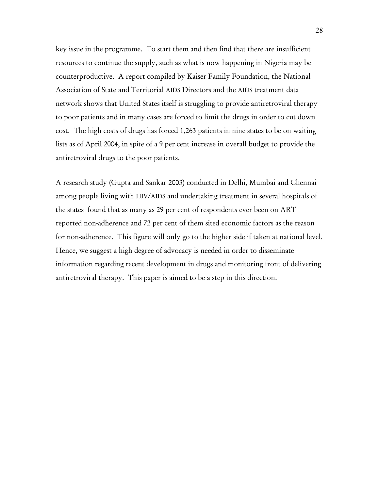key issue in the programme. To start them and then find that there are insufficient resources to continue the supply, such as what is now happening in Nigeria may be counterproductive. A report compiled by Kaiser Family Foundation, the National Association of State and Territorial AIDS Directors and the AIDS treatment data network shows that United States itself is struggling to provide antiretroviral therapy to poor patients and in many cases are forced to limit the drugs in order to cut down cost. The high costs of drugs has forced 1,263 patients in nine states to be on waiting lists as of April 2004, in spite of a 9 per cent increase in overall budget to provide the antiretroviral drugs to the poor patients.

A research study (Gupta and Sankar 2003) conducted in Delhi, Mumbai and Chennai among people living with HIV/AIDS and undertaking treatment in several hospitals of the states found that as many as 29 per cent of respondents ever been on ART reported non-adherence and 72 per cent of them sited economic factors as the reason for non-adherence. This figure will only go to the higher side if taken at national level. Hence, we suggest a high degree of advocacy is needed in order to disseminate information regarding recent development in drugs and monitoring front of delivering antiretroviral therapy. This paper is aimed to be a step in this direction.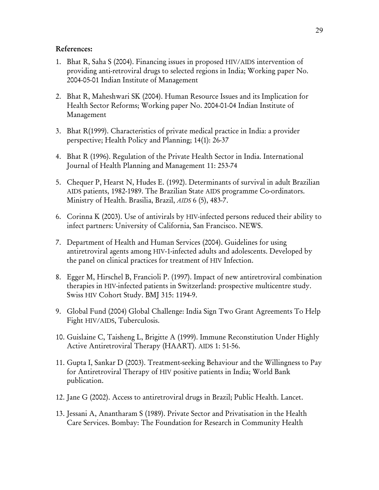#### References:

- 1. Bhat R, Saha S (2004). Financing issues in proposed HIV/AIDS intervention of providing anti-retroviral drugs to selected regions in India; Working paper No. 2004-05-01 Indian Institute of Management
- 2. Bhat R, Maheshwari SK (2004). Human Resource Issues and its Implication for Health Sector Reforms; Working paper No. 2004-01-04 Indian Institute of Management
- 3. Bhat R(1999). Characteristics of private medical practice in India: a provider perspective; Health Policy and Planning; 14(1): 26-37
- 4. Bhat R (1996). Regulation of the Private Health Sector in India. International Journal of Health Planning and Management 11: 253-74
- 5. Chequer P, Hearst N, Hudes E. (1992). Determinants of survival in adult Brazilian AIDS patients, 1982-1989. The Brazilian State AIDS programme Co-ordinators. Ministry of Health. Brasilia, Brazil, *AIDS* 6 (5), 483-7.
- 6. Corinna K (2003). Use of antivirals by HIV-infected persons reduced their ability to infect partners: University of California, San Francisco. NEWS.
- 7. Department of Health and Human Services (2004). Guidelines for using antiretroviral agents among HIV-1-infected adults and adolescents. Developed by the panel on clinical practices for treatment of HIV Infection.
- 8. Egger M, Hirschel B, Francioli P. (1997). Impact of new antiretroviral combination therapies in HIV-infected patients in Switzerland: prospective multicentre study. Swiss HIV Cohort Study. BMJ 315: 1194-9.
- 9. Global Fund (2004) Global Challenge: India Sign Two Grant Agreements To Help Fight HIV/AIDS, Tuberculosis.
- 10. Guislaine C, Taisheng L, Brigitte A (1999). Immune Reconstitution Under Highly Active Antiretroviral Therapy (HAART). AIDS 1: 51-56.
- 11. Gupta I, Sankar D (2003). Treatment-seeking Behaviour and the Willingness to Pay for Antiretroviral Therapy of HIV positive patients in India; World Bank publication.
- 12. Jane G (2002). Access to antiretroviral drugs in Brazil; Public Health. Lancet.
- 13. Jessani A, Anantharam S (1989). Private Sector and Privatisation in the Health Care Services. Bombay: The Foundation for Research in Community Health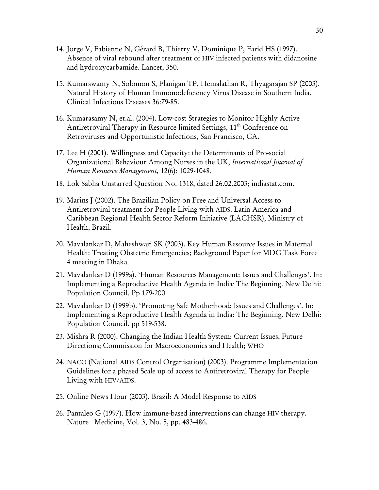- 14. Jorge V, Fabienne N, Gérard B, Thierry V, Dominique P, Farid HS (1997). Absence of viral rebound after treatment of HIV infected patients with didanosine and hydroxycarbamide. Lancet, 350.
- 15. Kumarswamy N, Solomon S, Flanigan TP, Hemalathan R, Thyagarajan SP (2003). Natural History of Human Immonodeficiency Virus Disease in Southern India. Clinical Infectious Diseases 36:79-85.
- 16. Kumarasamy N, et.al. (2004). Low-cost Strategies to Monitor Highly Active Antiretroviral Therapy in Resource-limited Settings, 11<sup>th</sup> Conference on Retroviruses and Opportunistic Infections, San Francisco, CA.
- 17. Lee H (2001). Willingness and Capacity: the Determinants of Pro-social Organizational Behaviour Among Nurses in the UK, *International Journal of Human Resource Management,* 12(6): 1029-1048.
- 18. Lok Sabha Unstarred Question No. 1318, dated 26.02.2003; indiastat.com.
- 19. Marins J (2002). The Brazilian Policy on Free and Universal Access to Antiretroviral treatment for People Living with AIDS. Latin America and Caribbean Regional Health Sector Reform Initiative (LACHSR), Ministry of Health, Brazil.
- 20. Mavalankar D, Maheshwari SK (2003). Key Human Resource Issues in Maternal Health: Treating Obstetric Emergencies; Background Paper for MDG Task Force 4 meeting in Dhaka
- 21. Mavalankar D (1999a). 'Human Resources Management: Issues and Challenges'. In: Implementing a Reproductive Health Agenda in India*:* The Beginning. New Delhi: Population Council. Pp 179-200
- 22. Mavalankar D (1999b). 'Promoting Safe Motherhood: Issues and Challenges'. In: Implementing a Reproductive Health Agenda in India: The Beginning. New Delhi: Population Council. pp 519-538.
- 23. Mishra R (2000). Changing the Indian Health System: Current Issues, Future Directions; Commission for Macroeconomics and Health; WHO
- 24. NACO (National AIDS Control Organisation) (2003). Programme Implementation Guidelines for a phased Scale up of access to Antiretroviral Therapy for People Living with HIV/AIDS.
- 25. Online News Hour (2003). Brazil: A Model Response to AIDS
- 26. Pantaleo G (1997). How immune-based interventions can change HIV therapy. Nature Medicine, Vol. 3, No. 5, pp. 483-486.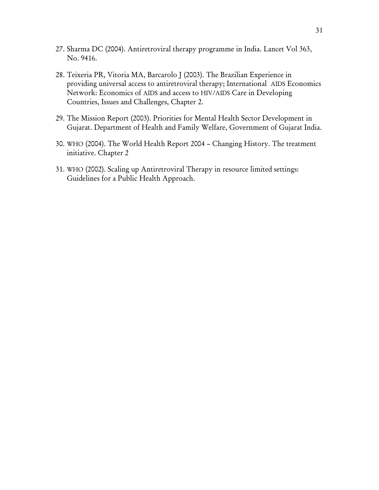- 27. Sharma DC (2004). Antiretroviral therapy programme in India. Lancet Vol 363, No. 9416.
- 28. Teixeria PR, Vitoria MA, Barcarolo J (2003). The Brazilian Experience in providing universal access to antiretroviral therapy; International AIDS Economics Network: Economics of AIDS and access to HIV/AIDS Care in Developing Countries, Issues and Challenges, Chapter 2.
- 29. The Mission Report (2003). Priorities for Mental Health Sector Development in Gujarat. Department of Health and Family Welfare, Government of Gujarat India.
- 30. WHO (2004). The World Health Report 2004 Changing History. The treatment initiative. Chapter 2
- 31. WHO (2002). Scaling up Antiretroviral Therapy in resource limited settings: Guidelines for a Public Health Approach.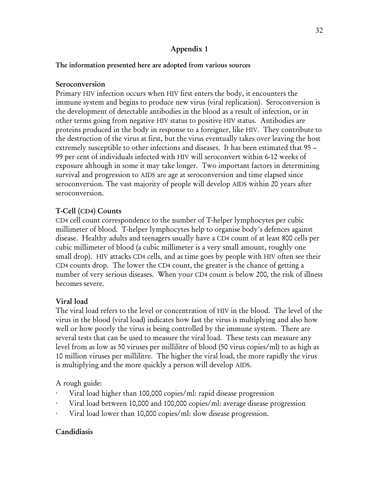## Appendix 1

### The information presented here are adopted from various sources

### Seroconversion

Primary HIV infection occurs when HIV first enters the body, it encounters the immune system and begins to produce new virus (viral replication). Seroconversion is the development of detectable antibodies in the blood as a result of infection, or in other terms going from negative HIV status to positive HIV status. Antibodies are proteins produced in the body in response to a foreigner, like HIV. They contribute to the destruction of the virus at first, but the virus eventually takes over leaving the host extremely susceptible to other infections and diseases. It has been estimated that 95 – 99 per cent of individuals infected with HIV will seroconvert within 6-12 weeks of exposure although in some it may take longer. Two important factors in determining survival and progression to AIDS are age at seroconversion and time elapsed since seroconversion. The vast majority of people will develop AIDS within 20 years after seroconversion.

## T-Cell (CD4) Counts

CD4 cell count correspondence to the number of T-helper lymphocytes per cubic millimeter of blood. T-helper lymphocytes help to organise body's defences against disease. Healthy adults and teenagers usually have a CD4 count of at least 800 cells per cubic millimeter of blood (a cubic millimeter is a very small amount, roughly one small drop). HIV attacks CD4 cells, and as time goes by people with HIV often see their CD4 counts drop. The lower the CD4 count, the greater is the chance of getting a number of very serious diseases. When your CD4 count is below 200, the risk of illness becomes severe.

### Viral load

The viral load refers to the level or concentration of HIV in the blood. The level of the virus in the blood (viral load) indicates how fast the virus is multiplying and also how well or how poorly the virus is being controlled by the immune system. There are several tests that can be used to measure the viral load. These tests can measure any level from as low as 50 viruses per millilitre of blood (50 virus copies/ml) to as high as 10 million viruses per millilitre. The higher the viral load, the more rapidly the virus is multiplying and the more quickly a person will develop AIDS.

A rough guide:

- Viral load higher than 100,000 copies/ml: rapid disease progression
- Viral load between 10,000 and 100,000 copies/ml: average disease progression
- Viral load lower than 10,000 copies/ml: slow disease progression.

## Candidiasis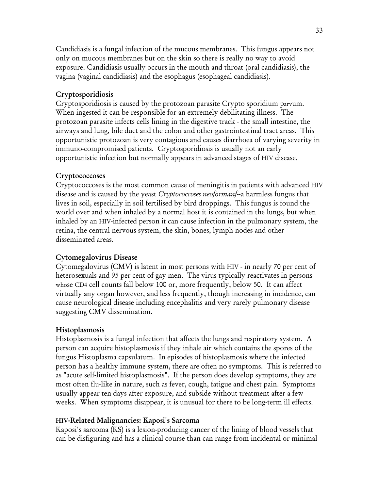Candidiasis is a fungal infection of the mucous membranes. This fungus appears not only on mucous membranes but on the skin so there is really no way to avoid exposure. Candidiasis usually occurs in the mouth and throat (oral candidiasis), the vagina (vaginal candidiasis) and the esophagus (esophageal candidiasis).

### Cryptosporidiosis

Cryptosporidiosis is caused by the protozoan parasite Crypto sporidium parvum. When ingested it can be responsible for an extremely debilitating illness. The protozoan parasite infects cells lining in the digestive track - the small intestine, the airways and lung, bile duct and the colon and other gastrointestinal tract areas. This opportunistic protozoan is very contagious and causes diarrhoea of varying severity in immuno-compromised patients. Cryptosporidiosis is usually not an early opportunistic infection but normally appears in advanced stages of HIV disease.

### **Cryptococcoses**

Cryptococcoses is the most common cause of meningitis in patients with advanced HIV disease and is caused by the yeast *Cryptococcoses neoformanf*--a harmless fungus that lives in soil, especially in soil fertilised by bird droppings. This fungus is found the world over and when inhaled by a normal host it is contained in the lungs, but when inhaled by an HIV-infected person it can cause infection in the pulmonary system, the retina, the central nervous system, the skin, bones, lymph nodes and other disseminated areas.

### Cytomegalovirus Disease

Cytomegalovirus (CMV) is latent in most persons with HIV - in nearly 70 per cent of heterosexuals and 95 per cent of gay men. The virus typically reactivates in persons whose CD4 cell counts fall below 100 or, more frequently, below 50. It can affect virtually any organ however, and less frequently, though increasing in incidence, can cause neurological disease including encephalitis and very rarely pulmonary disease suggesting CMV dissemination.

### Histoplasmosis

Histoplasmosis is a fungal infection that affects the lungs and respiratory system. A person can acquire histoplasmosis if they inhale air which contains the spores of the fungus Histoplasma capsulatum. In episodes of histoplasmosis where the infected person has a healthy immune system, there are often no symptoms. This is referred to as "acute self-limited histoplasmosis". If the person does develop symptoms, they are most often flu-like in nature, such as fever, cough, fatigue and chest pain. Symptoms usually appear ten days after exposure, and subside without treatment after a few weeks. When symptoms disappear, it is unusual for there to be long-term ill effects.

### HIV-Related Malignancies: Kaposi's Sarcoma

Kaposi's sarcoma (KS) is a lesion-producing cancer of the lining of blood vessels that can be disfiguring and has a clinical course than can range from incidental or minimal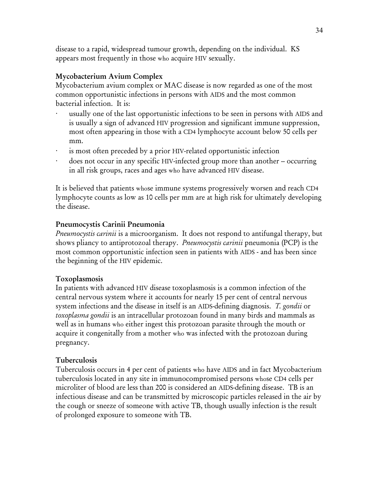disease to a rapid, widespread tumour growth, depending on the individual. KS appears most frequently in those who acquire HIV sexually.

### Mycobacterium Avium Complex

Mycobacterium avium complex or MAC disease is now regarded as one of the most common opportunistic infections in persons with AIDS and the most common bacterial infection. It is:

- usually one of the last opportunistic infections to be seen in persons with AIDS and is usually a sign of advanced HIV progression and significant immune suppression, most often appearing in those with a CD4 lymphocyte account below 50 cells per mm.
- is most often preceded by a prior HIV-related opportunistic infection
- · does not occur in any specific HIV-infected group more than another -- occurring in all risk groups, races and ages who have advanced HIV disease.

It is believed that patients whose immune systems progressively worsen and reach CD4 lymphocyte counts as low as 10 cells per mm are at high risk for ultimately developing the disease.

### Pneumocystis Carinii Pneumonia

*Pneumocystis carinii* is a microorganism. It does not respond to antifungal therapy, but shows pliancy to antiprotozoal therapy. *Pneumocystis carinii* pneumonia (PCP) is the most common opportunistic infection seen in patients with AIDS - and has been since the beginning of the HIV epidemic.

### Toxoplasmosis

In patients with advanced HIV disease toxoplasmosis is a common infection of the central nervous system where it accounts for nearly 15 per cent of central nervous system infections and the disease in itself is an AIDS-defining diagnosis. *T. gondii* or *toxoplasma gondii* is an intracellular protozoan found in many birds and mammals as well as in humans who either ingest this protozoan parasite through the mouth or acquire it congenitally from a mother who was infected with the protozoan during pregnancy.

### Tuberculosis

Tuberculosis occurs in 4 per cent of patients who have AIDS and in fact Mycobacterium tuberculosis located in any site in immunocompromised persons whose CD4 cells per microliter of blood are less than 200 is considered an AIDS-defining disease. TB is an infectious disease and can be transmitted by microscopic particles released in the air by the cough or sneeze of someone with active TB, though usually infection is the result of prolonged exposure to someone with TB.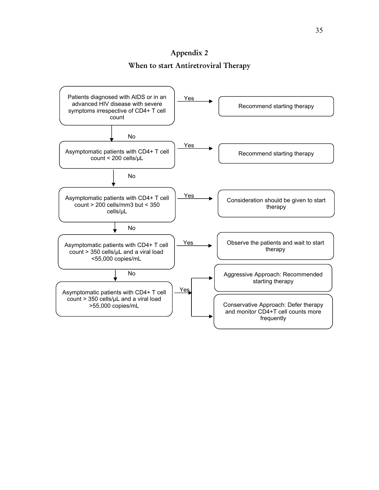# Appendix 2 When to start Antiretroviral Therapy

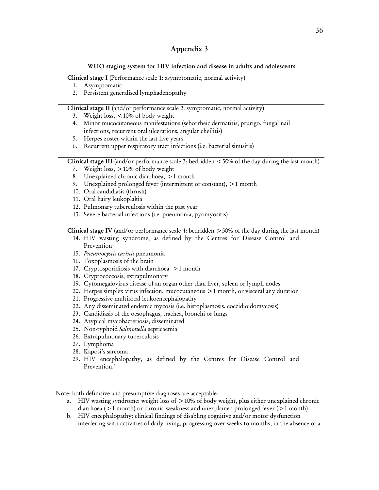### Appendix 3

#### WHO staging system for HIV infection and disease in adults and adolescents

Clinical stage I (Performance scale 1: asymptomatic, normal activity)

- 1. Asymptomatic
- 2. Persistent generalised lymphadenopathy

Clinical stage II (and/or performance scale 2: symptomatic, normal activity)

- 3. Weight loss, <10% of body weight
- 4. Minor mucocutaneous manifestations (seborrheic dermatitis, prurigo, fungal nail infections, recurrent oral ulcerations, angular cheilitis)
- 5. Herpes zoster within the last five years
- 6. Recurrent upper respiratory tract infections (i.e. bacterial sinusitis)

Clinical stage III (and/or performance scale 3: bedridden  $\lt$  50% of the day during the last month)

- 7. Weight loss, >10% of body weight
- 8. Unexplained chronic diarrhoea, >1 month
- 9. Unexplained prolonged fever (intermittent or constant), >1 month
- 10. Oral candidiasis (thrush)
- 11. Oral hairy leukoplakia
- 12. Pulmonary tuberculosis within the past year
- 13. Severe bacterial infections (i.e. pneumonia, pyomyositis)

Clinical stage IV (and/or performance scale 4: bedridden  $>50\%$  of the day during the last month)

- 14. HIV wasting syndrome, as defined by the Centres for Disease Control and Prevention<sup>a</sup>
- 15. *Pneumocystis carinii* pneumonia
- 16. Toxoplasmosis of the brain
- 17. Cryptosporidiosis with diarrhoea >1 month
- 18. Cryptococcosis, extrapulmonary
- 19. Cytomegalovirus disease of an organ other than liver, spleen or lymph nodes
- 20. Herpes simplex virus infection, mucocutaneous >1 month, or visceral any duration
- 21. Progressive multifocal leukoencephalopathy
- 22. Any disseminated endemic mycosis (i.e. histoplasmosis, coccidioidomycosis)
- 23. Candidiasis of the oesophagus, trachea, bronchi or lungs
- 24. Atypical mycobacteriosis, disseminated
- 25. Non-typhoid *Salmonella* septicaemia
- 26. Extrapulmonary tuberculosis
- 27. Lymphoma
- 28. Kaposi's sarcoma
- 29. HIV encephalopathy, as defined by the Centres for Disease Control and Prevention.<sup>b</sup>

Note: both definitive and presumptive diagnoses are acceptable.

- a. HIV wasting syndrome: weight loss of  $>10\%$  of body weight, plus either unexplained chronic diarrhoea (>1 month) or chronic weakness and unexplained prolonged fever (>1 month).
- b. HIV encephalopathy: clinical findings of disabling cognitive and/or motor dysfunction interfering with activities of daily living, progressing over weeks to months, in the absence of a